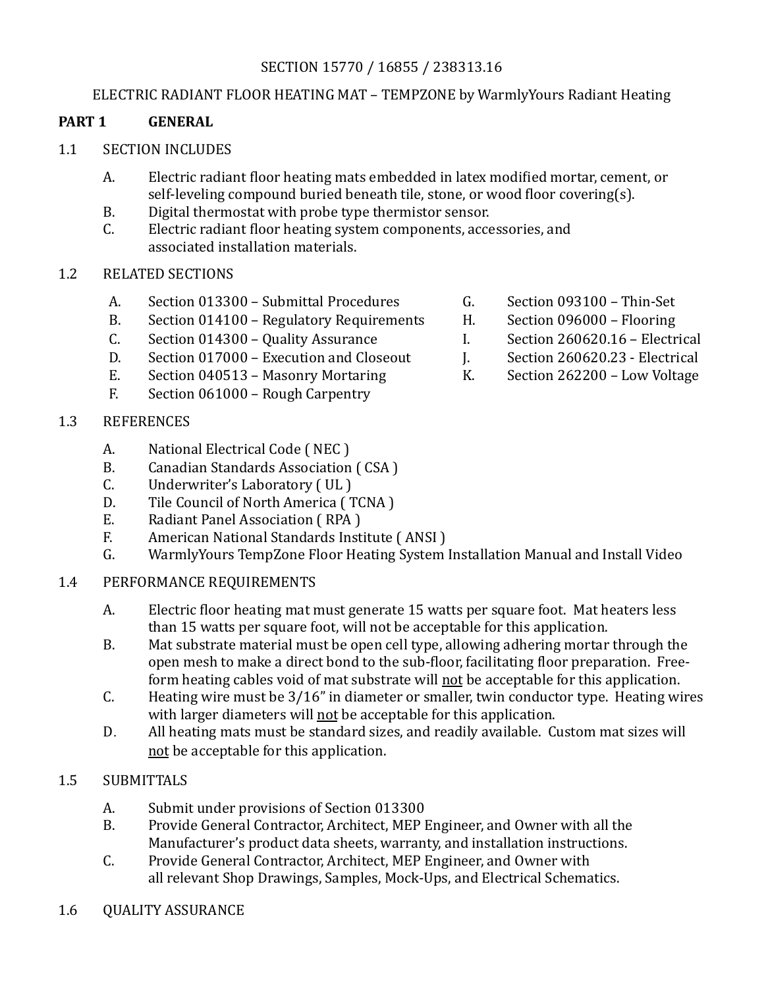# SECTION 15770 / 16855 / 238313.16

### ELECTRIC RADIANT FLOOR HEATING MAT - TEMPZONE by WarmlyYours Radiant Heating

#### **PART 1 GENERAL**

#### 1.1 SECTION INCLUDES

- A. Electric radiant floor heating mats embedded in latex modified mortar, cement, or self-leveling compound buried beneath tile, stone, or wood floor covering(s).
- B. Digital thermostat with probe type thermistor sensor.
- C. Electric radiant floor heating system components, accessories, and associated installation materials.
- 1.2 RELATED SECTIONS
	- A. Section 013300 Submittal Procedures G. Section 093100 Thin-Set
	- B. Section 014100 Regulatory Requirements H. Section 096000 Flooring
	- C. Section 014300 Quality Assurance I. Section 260620.16 Electrical
	- D. Section 017000 Execution and Closeout J. Section 260620.23 Electrical
	- E. Section 040513 Masonry Mortaring K. Section 262200 Low Voltage
	- $F.$  Section 061000 Rough Carpentry

## 1.3 REFERENCES

- A. National Electrical Code (NEC)
- B. Canadian Standards Association (CSA)
- C. Underwriter's Laboratory (UL)
- D. Tile Council of North America (TCNA)
- E. Radiant Panel Association (RPA)
- F. American National Standards Institute (ANSI)
- G. Warmly Yours TempZone Floor Heating System Installation Manual and Install Video

### 1.4 PERFORMANCE REQUIREMENTS

- A. Electric floor heating mat must generate 15 watts per square foot. Mat heaters less than 15 watts per square foot, will not be acceptable for this application.
- B. Mat substrate material must be open cell type, allowing adhering mortar through the open mesh to make a direct bond to the sub-floor, facilitating floor preparation. Freeform heating cables void of mat substrate will not be acceptable for this application.
- C. Heating wire must be  $3/16$ " in diameter or smaller, twin conductor type. Heating wires with larger diameters will not be acceptable for this application.
- D. All heating mats must be standard sizes, and readily available. Custom mat sizes will not be acceptable for this application.

### 1.5 SUBMITTALS

- A. Submit under provisions of Section 013300
- B. Provide General Contractor, Architect, MEP Engineer, and Owner with all the Manufacturer's product data sheets, warranty, and installation instructions.
- C. Provide General Contractor, Architect, MEP Engineer, and Owner with all relevant Shop Drawings, Samples, Mock-Ups, and Electrical Schematics.
- 1.6 OUALITY ASSURANCE
- 
- 
- 
- 
-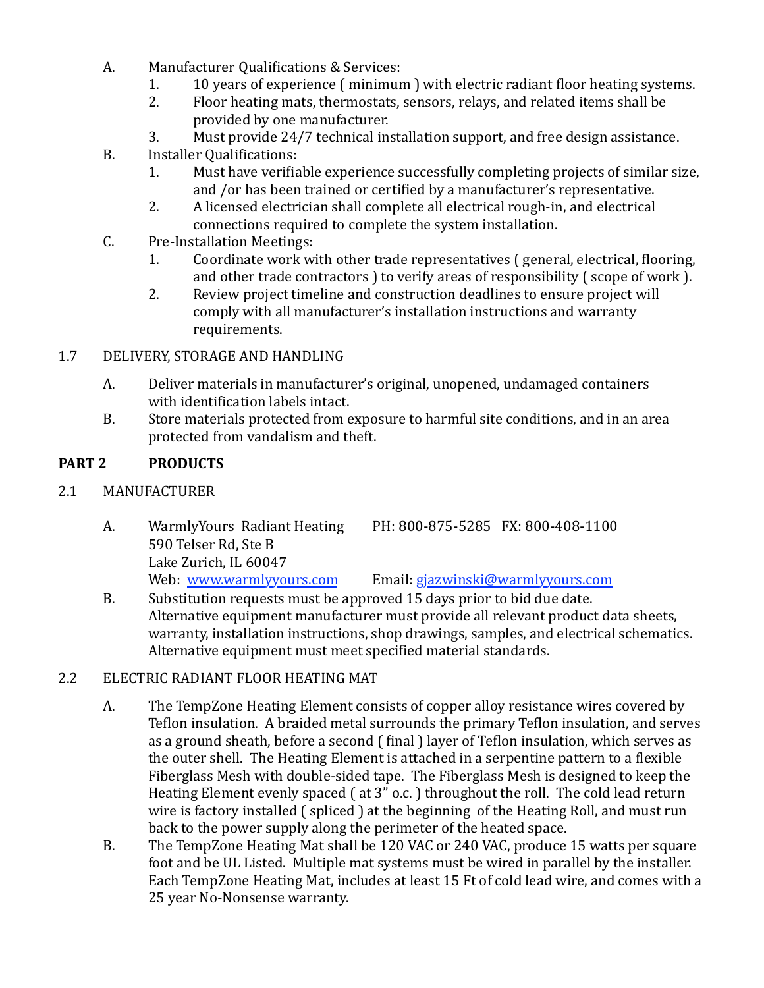- A. Manufacturer Qualifications & Services:
	- 1. 10 years of experience ( minimum ) with electric radiant floor heating systems.
	- 2. Floor heating mats, thermostats, sensors, relays, and related items shall be provided by one manufacturer.
	- 3. Must provide 24/7 technical installation support, and free design assistance.
- B. Installer Qualifications:
	- 1. Must have verifiable experience successfully completing projects of similar size, and /or has been trained or certified by a manufacturer's representative.
	- 2. A licensed electrician shall complete all electrical rough-in, and electrical connections required to complete the system installation.
- C. Pre-Installation Meetings:
	- 1. Coordinate work with other trade representatives ( general, electrical, flooring, and other trade contractors  $\overline{\phantom{a}}$  to verify areas of responsibility ( scope of work  $\overline{\phantom{a}}$ ).
	- 2. Review project timeline and construction deadlines to ensure project will comply with all manufacturer's installation instructions and warranty requirements.

# 1.7 DELIVERY, STORAGE AND HANDLING

- A. Deliver materials in manufacturer's original, unopened, undamaged containers with identification labels intact.
- B. Store materials protected from exposure to harmful site conditions, and in an area protected from vandalism and theft.

# PART 2 PRODUCTS

# 2.1 MANUFACTURER

- A. Warmly Yours Radiant Heating PH: 800-875-5285 FX: 800-408-1100 590 Telser Rd, Ste B Lake Zurich, IL 60047 Web: www.warmlyyours.com Email: [gjazwinski@warmlyyours.com](mailto:gjazwinski@warmlyyours.com)
- B. Substitution requests must be approved 15 days prior to bid due date. Alternative equipment manufacturer must provide all relevant product data sheets, warranty, installation instructions, shop drawings, samples, and electrical schematics. Alternative equipment must meet specified material standards.

# 2.2 ELECTRIC RADIANT FLOOR HEATING MAT

- A. The TempZone Heating Element consists of copper alloy resistance wires covered by Teflon insulation. A braided metal surrounds the primary Teflon insulation, and serves as a ground sheath, before a second (final) layer of Teflon insulation, which serves as the outer shell. The Heating Element is attached in a serpentine pattern to a flexible Fiberglass Mesh with double-sided tape. The Fiberglass Mesh is designed to keep the Heating Element evenly spaced  $($  at  $3"$  o.c.  $)$  throughout the roll. The cold lead return wire is factory installed  $($  spliced  $)$  at the beginning of the Heating Roll, and must run back to the power supply along the perimeter of the heated space.
- B. The TempZone Heating Mat shall be 120 VAC or 240 VAC, produce 15 watts per square foot and be UL Listed. Multiple mat systems must be wired in parallel by the installer. Each TempZone Heating Mat, includes at least 15 Ft of cold lead wire, and comes with a 25 year No-Nonsense warranty.